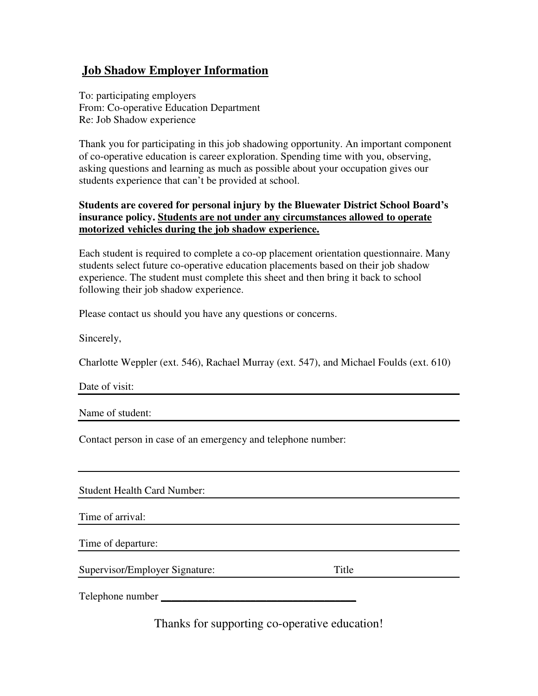## **Job Shadow Employer Information**

To: participating employers From: Co-operative Education Department Re: Job Shadow experience

Thank you for participating in this job shadowing opportunity. An important component of co-operative education is career exploration. Spending time with you, observing, asking questions and learning as much as possible about your occupation gives our students experience that can't be provided at school.

### **Students are covered for personal injury by the Bluewater District School Board's insurance policy. Students are not under any circumstances allowed to operate motorized vehicles during the job shadow experience.**

Each student is required to complete a co-op placement orientation questionnaire. Many students select future co-operative education placements based on their job shadow experience. The student must complete this sheet and then bring it back to school following their job shadow experience.

Please contact us should you have any questions or concerns.

Sincerely,

Charlotte Weppler (ext. 546), Rachael Murray (ext. 547), and Michael Foulds (ext. 610)

Date of visit:

Name of student:

Contact person in case of an emergency and telephone number:

Student Health Card Number:

Time of arrival:

Time of departure:

Supervisor/Employer Signature: Title

Telephone number **\_\_\_\_\_\_\_\_\_\_\_\_\_\_\_\_\_\_\_\_\_\_\_\_\_\_\_\_\_\_\_\_\_\_\_\_\_**

Thanks for supporting co-operative education!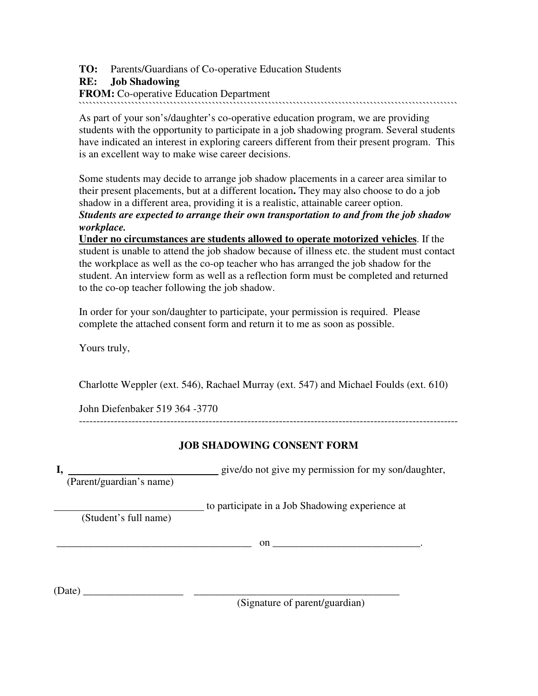**TO:** Parents/Guardians of Co-operative Education Students

### **RE: Job Shadowing**

**FROM:** Co-operative Education Department

````````````````````````````````````````````````````````````````````````````````````````````````````````````

As part of your son's/daughter's co-operative education program, we are providing students with the opportunity to participate in a job shadowing program. Several students have indicated an interest in exploring careers different from their present program. This is an excellent way to make wise career decisions.

Some students may decide to arrange job shadow placements in a career area similar to their present placements, but at a different location**.** They may also choose to do a job shadow in a different area, providing it is a realistic, attainable career option. *Students are expected to arrange their own transportation to and from the job shadow workplace.* 

**Under no circumstances are students allowed to operate motorized vehicles**. If the student is unable to attend the job shadow because of illness etc. the student must contact the workplace as well as the co-op teacher who has arranged the job shadow for the student. An interview form as well as a reflection form must be completed and returned to the co-op teacher following the job shadow.

In order for your son/daughter to participate, your permission is required. Please complete the attached consent form and return it to me as soon as possible.

Yours truly,

Charlotte Weppler (ext. 546), Rachael Murray (ext. 547) and Michael Foulds (ext. 610)

John Diefenbaker 519 364 -3770

------------------------------------------------------------------------------------------------------------

## **JOB SHADOWING CONSENT FORM**

**I,** give/do not give my permission for my son/daughter,

(Parent/guardian's name)

to participate in a Job Shadowing experience at

(Student's full name)

\_\_\_\_\_\_\_\_\_\_\_\_\_\_\_\_\_\_\_\_\_\_\_\_\_\_\_\_\_\_\_\_\_\_\_\_\_ on \_\_\_\_\_\_\_\_\_\_\_\_\_\_\_\_\_\_\_\_**\_\_\_\_\_\_\_\_**.

(Date) \_\_\_\_\_\_\_\_\_\_\_\_\_\_\_\_\_\_\_ \_\_\_\_\_\_\_\_\_\_\_\_\_\_\_\_\_\_\_\_\_\_\_\_\_\_\_\_\_\_\_\_\_\_\_\_\_\_\_

(Signature of parent/guardian)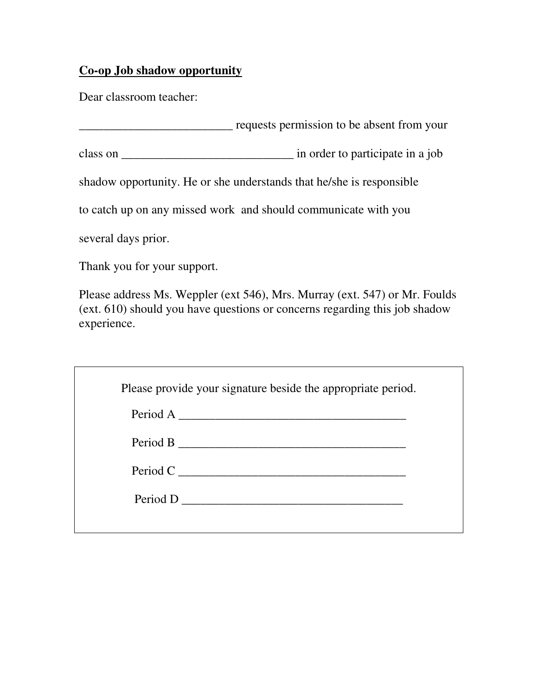# **Co-op Job shadow opportunity**

Dear classroom teacher:

\_\_\_\_\_\_\_\_\_\_\_\_\_\_\_\_\_\_\_\_\_\_\_\_\_ requests permission to be absent from your

class on \_\_\_\_\_\_\_\_\_\_\_\_\_\_\_\_\_\_\_\_\_\_\_\_\_\_\_\_ in order to participate in a job

shadow opportunity. He or she understands that he/she is responsible

to catch up on any missed work and should communicate with you

several days prior.

Thank you for your support.

Please address Ms. Weppler (ext 546), Mrs. Murray (ext. 547) or Mr. Foulds (ext. 610) should you have questions or concerns regarding this job shadow experience.

| Please provide your signature beside the appropriate period. |  |
|--------------------------------------------------------------|--|
|                                                              |  |
|                                                              |  |
|                                                              |  |
| Period C                                                     |  |
| Period D                                                     |  |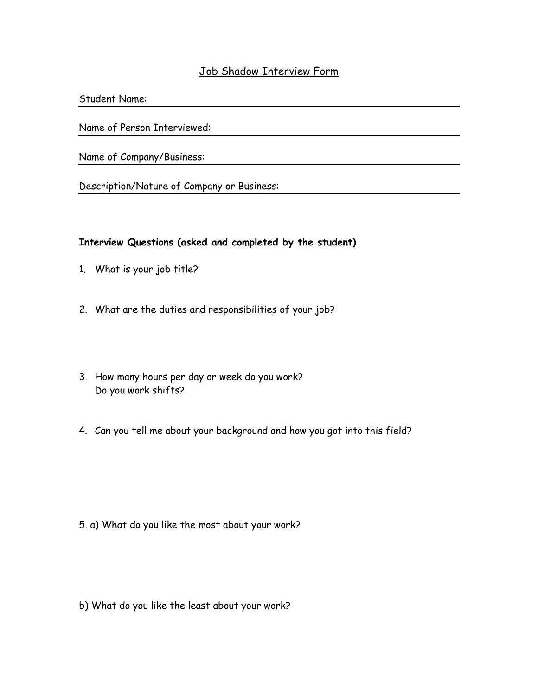## Job Shadow Interview Form

Student Name:

Name of Person Interviewed:

Name of Company/Business:

Description/Nature of Company or Business:

### Interview Questions (asked and completed by the student)

- 1. What is your job title?
- 2. What are the duties and responsibilities of your job?
- 3. How many hours per day or week do you work? Do you work shifts?
- 4. Can you tell me about your background and how you got into this field?

- 5. a) What do you like the most about your work?
- b) What do you like the least about your work?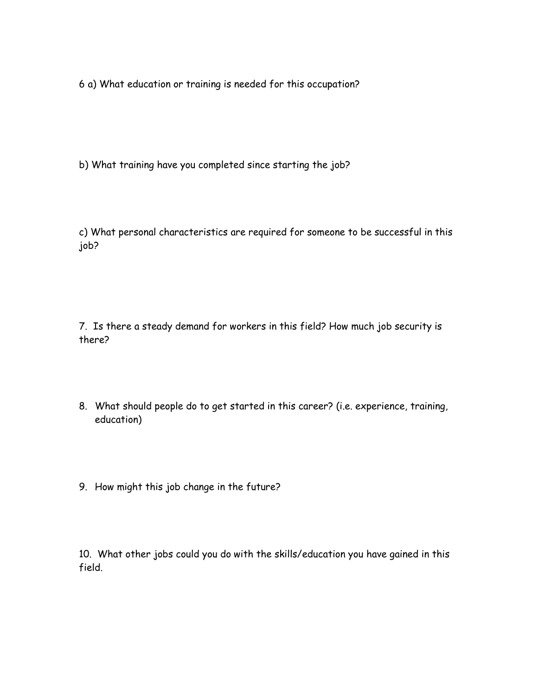6 a) What education or training is needed for this occupation?

b) What training have you completed since starting the job?

c) What personal characteristics are required for someone to be successful in this job?

7. Is there a steady demand for workers in this field? How much job security is there?

- 8. What should people do to get started in this career? (i.e. experience, training, education)
- 9. How might this job change in the future?

10. What other jobs could you do with the skills/education you have gained in this field.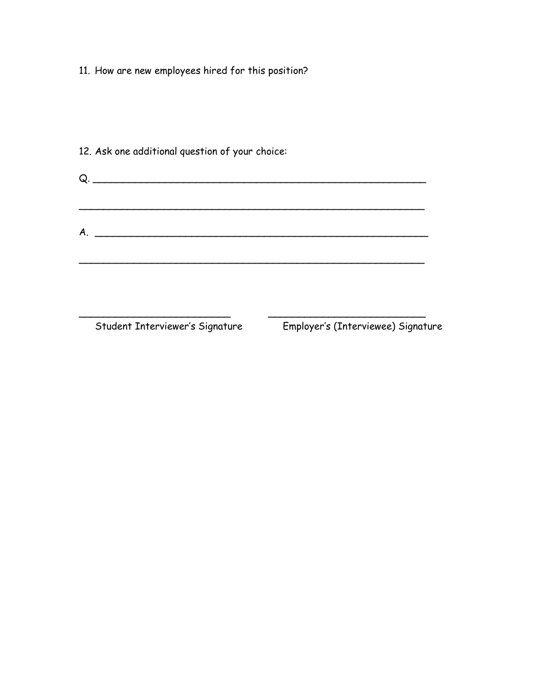11. How are new employees hired for this position?

| 12. Ask one additional question of your choice:                                                                      |
|----------------------------------------------------------------------------------------------------------------------|
| $Q.$ $\qquad \qquad$                                                                                                 |
|                                                                                                                      |
| <u> 1989 - Johann John Stone, markin sanat masjid ayyı bir alan bir alan bir alan bir alan bir alan bir alan bir</u> |
| A.                                                                                                                   |
|                                                                                                                      |
|                                                                                                                      |
|                                                                                                                      |
|                                                                                                                      |

Student Interviewer's Signature Employer's (Interviewee) Signature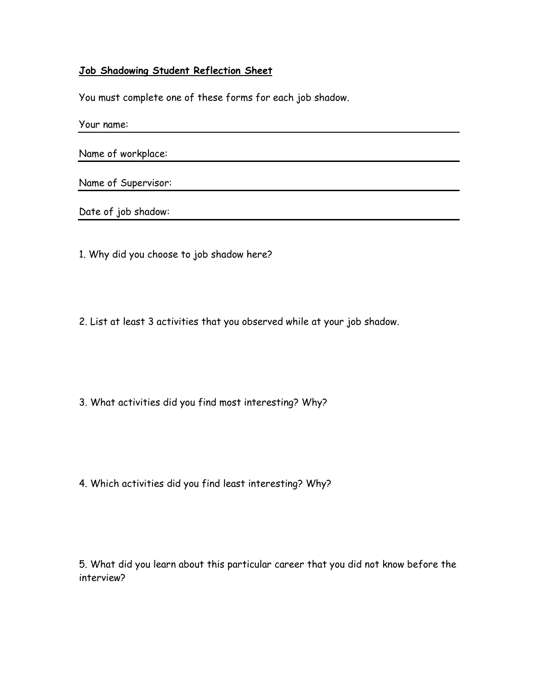### Job Shadowing Student Reflection Sheet

You must complete one of these forms for each job shadow.

Your name:

Name of workplace:

Name of Supervisor:

Date of job shadow:

1. Why did you choose to job shadow here?

2. List at least 3 activities that you observed while at your job shadow.

3. What activities did you find most interesting? Why?

4. Which activities did you find least interesting? Why?

5. What did you learn about this particular career that you did not know before the interview?